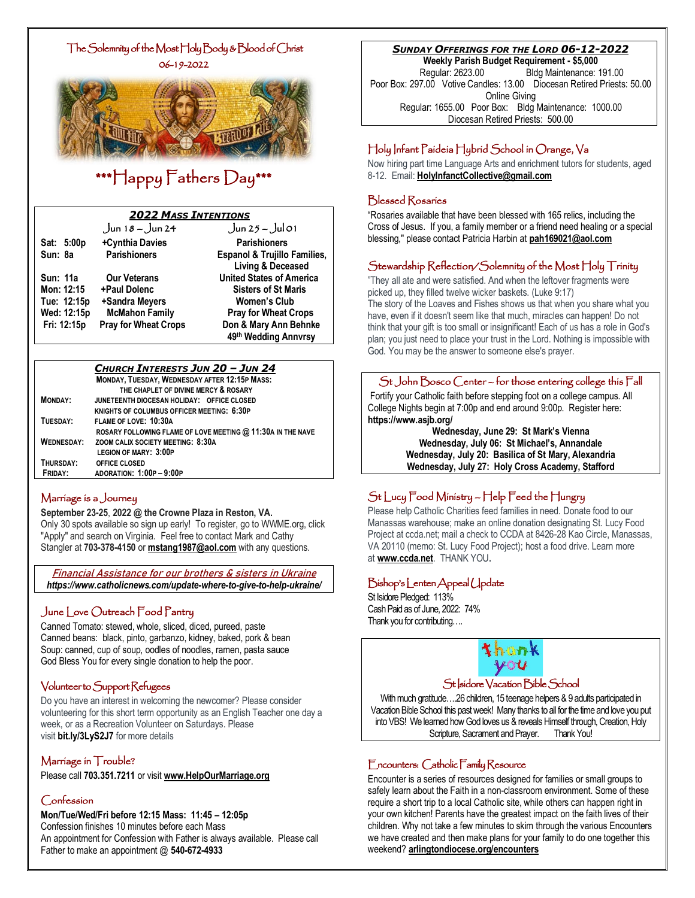# The Solemnity of the Most Holy Body & Blood of Christ 06-19-2022



# \*\*\*Happy Fathers Day\*\*\*

## *2022 MASS INTENTIONS*

|             | Jun 18 – Jun 24             | $Jun 25 - Jul 01$                       |
|-------------|-----------------------------|-----------------------------------------|
| Sat: 5:00p  | +Cynthia Davies             | <b>Parishioners</b>                     |
| Sun: 8a     | <b>Parishioners</b>         | <b>Espanol &amp; Trujillo Families,</b> |
|             |                             | Living & Deceased                       |
| Sun: 11a    | <b>Our Veterans</b>         | <b>United States of America</b>         |
| Mon: 12:15  | +Paul Dolenc                | <b>Sisters of St Maris</b>              |
| Tue: 12:15p | +Sandra Meyers              | <b>Women's Club</b>                     |
| Wed: 12:15p | <b>McMahon Family</b>       | <b>Pray for Wheat Crops</b>             |
| Fri: 12:15p | <b>Pray for Wheat Crops</b> | Don & Mary Ann Behnke                   |
|             |                             | 49th Wedding Annvrsy                    |

#### *CHURCH INTERESTS JUN 20 – JUN 24*

|                   | MONDAY, TUESDAY, WEDNESDAY AFTER 12:15P MASS:               |  |  |
|-------------------|-------------------------------------------------------------|--|--|
|                   | THE CHAPLET OF DIVINE MERCY & ROSARY                        |  |  |
| <b>MONDAY:</b>    | JUNETEENTH DIOCESAN HOLIDAY: OFFICE CLOSED                  |  |  |
|                   | KNIGHTS OF COLUMBUS OFFICER MEETING: 6:30P                  |  |  |
| TUESDAY:          | FLAME OF LOVE: 10:30A                                       |  |  |
|                   | ROSARY FOLLOWING FLAME OF LOVE MEETING @ 11:30A IN THE NAVE |  |  |
| <b>WEDNESDAY:</b> | ZOOM CALIX SOCIETY MEETING: 8:30A                           |  |  |
|                   | <b>LEGION OF MARY: 3:00P</b>                                |  |  |
| THURSDAY:         | <b>OFFICE CLOSED</b>                                        |  |  |
| FRIDAY:           | ADORATION: 1:00P-9:00P                                      |  |  |
|                   |                                                             |  |  |

#### Marriage is a Journey

#### **September 23-25**, **2022 @ the Crowne Plaza in Reston, VA.**

Only 30 spots available so sign up early! To register, go to WWME.org, click "Apply" and search on Virginia. Feel free to contact Mark and Cathy Stangler at **703-378-4150** or **[mstang1987@aol.com](mailto:mstang1987@aol.com)** with any questions.

#### **Financial Assistance for our brothers & sisters in Ukraine** *https://www.catholicnews.com/update-where-to-give-to-help-ukraine/*

#### June Love Outreach Food Pantry

Canned Tomato: stewed, whole, sliced, diced, pureed, paste Canned beans: black, pinto, garbanzo, kidney, baked, pork & bean Soup: canned, cup of soup, oodles of noodles, ramen, pasta sauce God Bless You for every single donation to help the poor.

#### Volunteer to Support Refugees

Do you have an interest in welcoming the newcomer? Please consider volunteering for this short term opportunity as an English Teacher one day a week, or as a Recreation Volunteer on Saturdays. Please visit **[bit.ly/3LyS2J7](https://bit.ly/3LyS2J7)** for more details

# Marriage in Trouble?

Please call **703.351.7211** or visit **[www.HelpOurMarriage.org](http://www.helpourmarriage.org/)**

#### Confession

**Mon/Tue/Wed/Fri before 12:15 Mass: 11:45 – 12:05p** Confession finishes 10 minutes before each Mass An appointment for Confession with Father is always available. Please call Father to make an appointment @ **540-672-4933**

#### *SUNDAY OFFERINGS FOR THE LORD 06-12-2022*

**Weekly Parish Budget Requirement - \$5,000** Regular: 2623.00 Bldg Maintenance: 191.00 Poor Box: 297.00 Votive Candles: 13.00 Diocesan Retired Priests: 50.00 Online Giving Regular: 1655.00 Poor Box: Bldg Maintenance: 1000.00 Diocesan Retired Priests: 500.00

## Holy Infant Paideia Hybrid School in Orange, Va

Now hiring part time Language Arts and enrichment tutors for students, aged 8-12. Email: **[HolyInfanctCollective@gmail.com](mailto:HolyInfanctCollective@gmail.com)**

#### Blessed Rosaries

"Rosaries available that have been blessed with 165 relics, including the Cross of Jesus. If you, a family member or a friend need healing or a special blessing," please contact Patricia Harbin at **[pah169021@aol.com](mailto:pah169021@aol.com)** 

#### Stewardship Reflection/Solemnity of the Most Holy Trinity

"They all ate and were satisfied. And when the leftover fragments were picked up, they filled twelve wicker baskets. (Luke 9:17) The story of the Loaves and Fishes shows us that when you share what you have, even if it doesn't seem like that much, miracles can happen! Do not think that your gift is too small or insignificant! Each of us has a role in God's plan; you just need to place your trust in the Lord. Nothing is impossible with God. You may be the answer to someone else's prayer.

#### St John Bosco Center – for those entering college this Fall

Fortify your Catholic faith before stepping foot on a college campus. All College Nights begin at 7:00p and end around 9:00p. Register here: **https://www.asjb.org/**

> **Wednesday, June 29: St Mark's Vienna Wednesday, July 06: St Michael's, Annandale Wednesday, July 20: Basilica of St Mary, Alexandria Wednesday, July 27: Holy Cross Academy, Stafford**

## St Lucy Food Ministry – Help Feed the Hungry

Please help Catholic Charities feed families in need. Donate food to our Manassas warehouse; make an online donation designating St. Lucy Food Project at ccda.net; mail a check to CCDA at 8426-28 Kao Circle, Manassas, VA 20110 (memo: St. Lucy Food Project); host a food drive. Learn more at **[www.ccda.net](http://www.ccda.net/)**. THANK YOU**.**

#### Bishop's Lenten Appeal Update

St Isidore Pledged: 113% Cash Paid as of June, 2022: 74% Thank you for contributing….



## St Isidore Vacation Bible School

With much gratitude....26 children, 15 teenage helpers & 9 adults participated in Vacation Bible School this past week! Many thanks to all for the time and love you put into VBS! We learned how God loves us & reveals Himself through, Creation, Holy Scripture, Sacrament and Prayer. Thank You!

#### Encounters: Catholic Family Resource

Encounter is a series of resources designed for families or small groups to safely learn about the Faith in a non-classroom environment. Some of these require a short trip to a local Catholic site, while others can happen right in your own kitchen! Parents have the greatest impact on the faith lives of their children. Why not take a few minutes to skim through the various Encounters we have created and then make plans for your family to do one together this weekend? **[arlingtondiocese.org/encounters](https://www.arlingtondiocese.org/encounters/)**